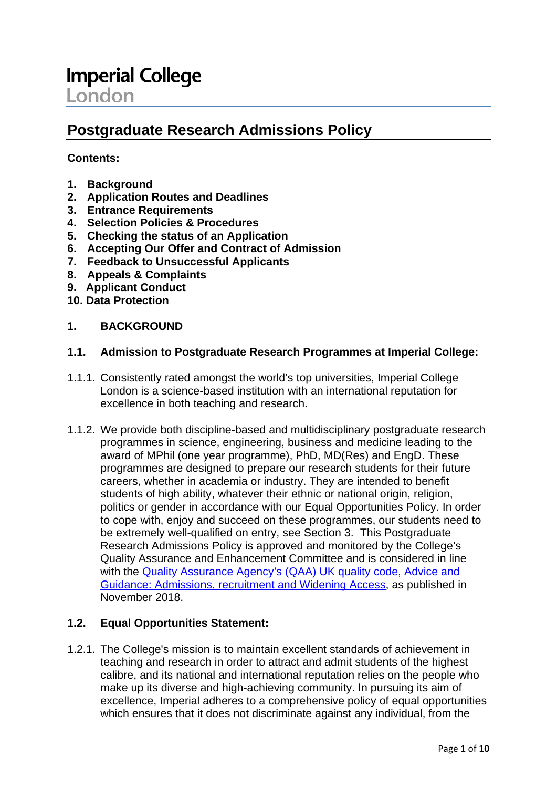# **Postgraduate Research Admissions Policy**

## **Contents:**

- **1. Background**
- **2. Application Routes and Deadlines**
- **3. Entrance Requirements**
- **4. Selection Policies & Procedures**
- **5. Checking the status of an Application**
- **6. Accepting Our Offer and Contract of Admission**
- **7. Feedback to Unsuccessful Applicants**
- **8. Appeals & Complaints**
- **9. Applicant Conduct**
- **10. Data Protection**

#### **1. BACKGROUND**

#### **1.1. Admission to Postgraduate Research Programmes at Imperial College:**

- 1.1.1. Consistently rated amongst the world's top universities, Imperial College London is a science-based institution with an international reputation for excellence in both teaching and research.
- 1.1.2. We provide both discipline-based and multidisciplinary postgraduate research programmes in science, engineering, business and medicine leading to the award of MPhil (one year programme), PhD, MD(Res) and EngD. These programmes are designed to prepare our research students for their future careers, whether in academia or industry. They are intended to benefit students of high ability, whatever their ethnic or national origin, religion, politics or gender in accordance with our Equal Opportunities Policy. In order to cope with, enjoy and succeed on these programmes, our students need to be extremely well-qualified on entry, see Section 3. This Postgraduate Research Admissions Policy is approved and monitored by the College's Quality Assurance and Enhancement Committee and is considered in line with the [Quality Assurance Agency's \(QAA\) UK quality code, Advice and](https://www.qaa.ac.uk/quality-code/advice-and-guidance/admissions-recruitment-and-widening-access)  [Guidance: Admissions, recruitment and Widening Access,](https://www.qaa.ac.uk/quality-code/advice-and-guidance/admissions-recruitment-and-widening-access) as published in November 2018.

#### **1.2. Equal Opportunities Statement:**

1.2.1. The College's mission is to maintain excellent standards of achievement in teaching and research in order to attract and admit students of the highest calibre, and its national and international reputation relies on the people who make up its diverse and high-achieving community. In pursuing its aim of excellence, Imperial adheres to a comprehensive policy of equal opportunities which ensures that it does not discriminate against any individual, from the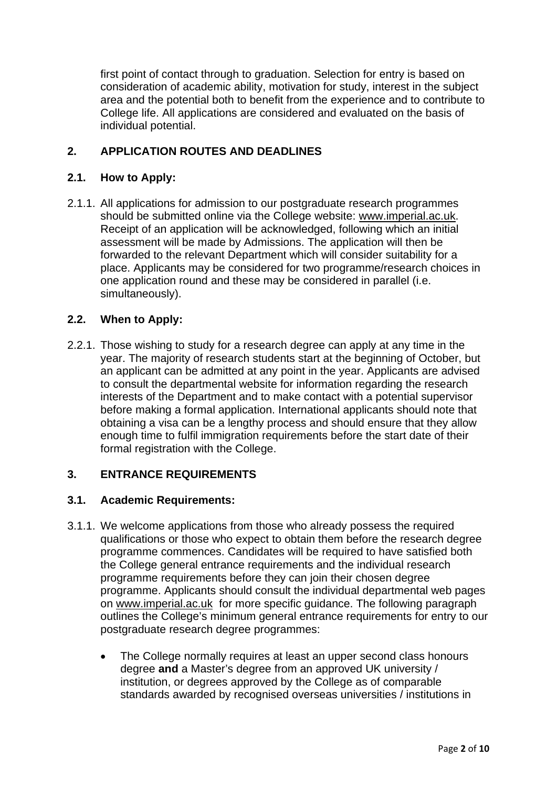first point of contact through to graduation. Selection for entry is based on consideration of academic ability, motivation for study, interest in the subject area and the potential both to benefit from the experience and to contribute to College life. All applications are considered and evaluated on the basis of individual potential.

# **2. APPLICATION ROUTES AND DEADLINES**

## **2.1. How to Apply:**

2.1.1. All applications for admission to our postgraduate research programmes should be submitted online via the College website: [www.imperial.ac.uk.](http://www.imperial.ac.uk/) Receipt of an application will be acknowledged, following which an initial assessment will be made by Admissions. The application will then be forwarded to the relevant Department which will consider suitability for a place. Applicants may be considered for two programme/research choices in one application round and these may be considered in parallel (i.e. simultaneously).

## **2.2. When to Apply:**

2.2.1. Those wishing to study for a research degree can apply at any time in the year. The majority of research students start at the beginning of October, but an applicant can be admitted at any point in the year. Applicants are advised to consult the departmental website for information regarding the research interests of the Department and to make contact with a potential supervisor before making a formal application. International applicants should note that obtaining a visa can be a lengthy process and should ensure that they allow enough time to fulfil immigration requirements before the start date of their formal registration with the College.

#### **3. ENTRANCE REQUIREMENTS**

#### **3.1. Academic Requirements:**

- 3.1.1. We welcome applications from those who already possess the required qualifications or those who expect to obtain them before the research degree programme commences. Candidates will be required to have satisfied both the College general entrance requirements and the individual research programme requirements before they can join their chosen degree programme. Applicants should consult the individual departmental web pages on [www.imperial.ac.uk](http://www.imperial.ac.uk/) for more specific guidance. The following paragraph outlines the College's minimum general entrance requirements for entry to our postgraduate research degree programmes:
	- The College normally requires at least an upper second class honours degree **and** a Master's degree from an approved UK university / institution, or degrees approved by the College as of comparable standards awarded by recognised overseas universities / institutions in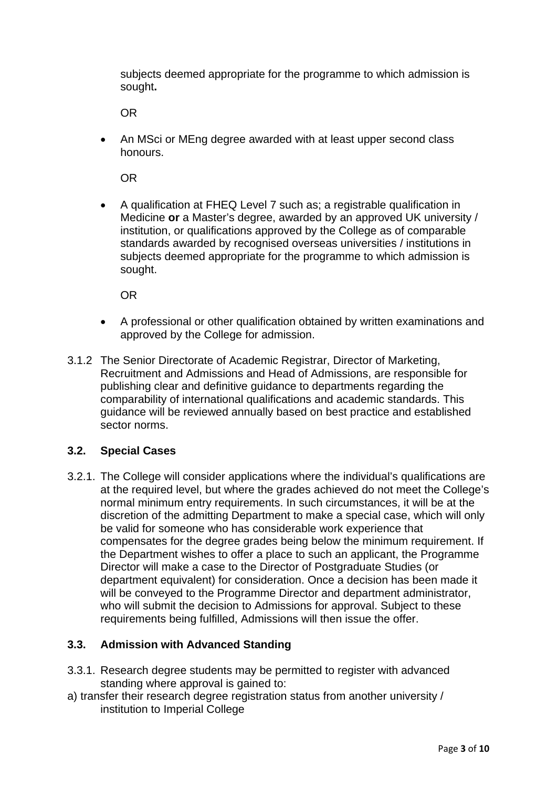subjects deemed appropriate for the programme to which admission is sought**.**

OR

• An MSci or MEng degree awarded with at least upper second class honours.

OR

• A qualification at FHEQ Level 7 such as; a registrable qualification in Medicine **or** a Master's degree, awarded by an approved UK university / institution, or qualifications approved by the College as of comparable standards awarded by recognised overseas universities / institutions in subjects deemed appropriate for the programme to which admission is sought.

OR

- A professional or other qualification obtained by written examinations and approved by the College for admission.
- 3.1.2 The Senior Directorate of Academic Registrar, Director of Marketing, Recruitment and Admissions and Head of Admissions, are responsible for publishing clear and definitive guidance to departments regarding the comparability of international qualifications and academic standards. This guidance will be reviewed annually based on best practice and established sector norms.

## **3.2. Special Cases**

3.2.1. The College will consider applications where the individual's qualifications are at the required level, but where the grades achieved do not meet the College's normal minimum entry requirements. In such circumstances, it will be at the discretion of the admitting Department to make a special case, which will only be valid for someone who has considerable work experience that compensates for the degree grades being below the minimum requirement. If the Department wishes to offer a place to such an applicant, the Programme Director will make a case to the Director of Postgraduate Studies (or department equivalent) for consideration. Once a decision has been made it will be conveyed to the Programme Director and department administrator, who will submit the decision to Admissions for approval. Subject to these requirements being fulfilled, Admissions will then issue the offer.

## **3.3. Admission with Advanced Standing**

- 3.3.1. Research degree students may be permitted to register with advanced standing where approval is gained to:
- a) transfer their research degree registration status from another university / institution to Imperial College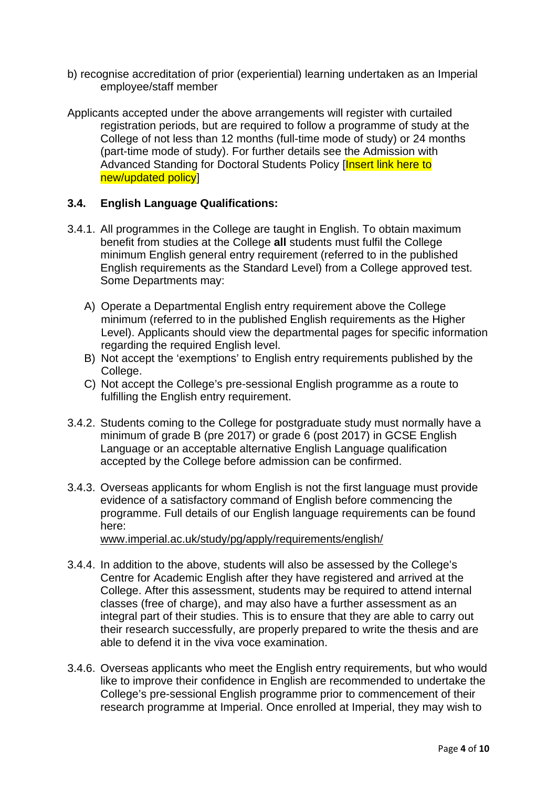- b) recognise accreditation of prior (experiential) learning undertaken as an Imperial employee/staff member
- Applicants accepted under the above arrangements will register with curtailed registration periods, but are required to follow a programme of study at the College of not less than 12 months (full-time mode of study) or 24 months (part-time mode of study). For further details see the Admission with Advanced Standing for Doctoral Students Policy [Insert link here to new/updated policy]

#### **3.4. English Language Qualifications:**

- 3.4.1. All programmes in the College are taught in English. To obtain maximum benefit from studies at the College **all** students must fulfil the College minimum English general entry requirement (referred to in the published English requirements as the Standard Level) from a College approved test. Some Departments may:
	- A) Operate a Departmental English entry requirement above the College minimum (referred to in the published English requirements as the Higher Level). Applicants should view the departmental pages for specific information regarding the required English level.
	- B) Not accept the 'exemptions' to English entry requirements published by the College.
	- C) Not accept the College's pre-sessional English programme as a route to fulfilling the English entry requirement.
- 3.4.2. Students coming to the College for postgraduate study must normally have a minimum of grade B (pre 2017) or grade 6 (post 2017) in GCSE English Language or an acceptable alternative English Language qualification accepted by the College before admission can be confirmed.
- 3.4.3. Overseas applicants for whom English is not the first language must provide evidence of a satisfactory command of English before commencing the programme. Full details of our English language requirements can be found here:

[www.imperial.ac.uk/study/pg/apply/requirements/english/](http://www.imperial.ac.uk/study/pg/apply/requirements/english/)

- 3.4.4. In addition to the above, students will also be assessed by the College's Centre for Academic English after they have registered and arrived at the College. After this assessment, students may be required to attend internal classes (free of charge), and may also have a further assessment as an integral part of their studies. This is to ensure that they are able to carry out their research successfully, are properly prepared to write the thesis and are able to defend it in the viva voce examination.
- 3.4.6. Overseas applicants who meet the English entry requirements, but who would like to improve their confidence in English are recommended to undertake the College's pre-sessional English programme prior to commencement of their research programme at Imperial. Once enrolled at Imperial, they may wish to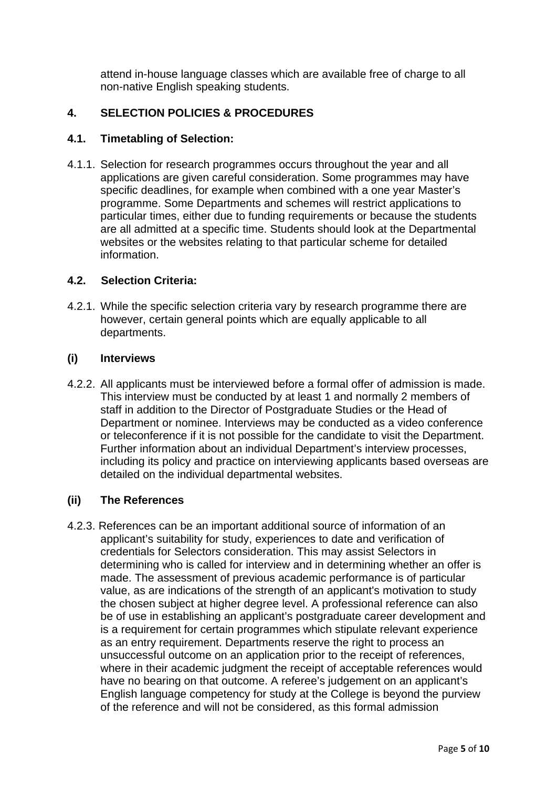attend in-house language classes which are available free of charge to all non-native English speaking students.

# **4. SELECTION POLICIES & PROCEDURES**

#### **4.1. Timetabling of Selection:**

4.1.1. Selection for research programmes occurs throughout the year and all applications are given careful consideration. Some programmes may have specific deadlines, for example when combined with a one year Master's programme. Some Departments and schemes will restrict applications to particular times, either due to funding requirements or because the students are all admitted at a specific time. Students should look at the Departmental websites or the websites relating to that particular scheme for detailed information.

#### **4.2. Selection Criteria:**

4.2.1. While the specific selection criteria vary by research programme there are however, certain general points which are equally applicable to all departments.

#### **(i) Interviews**

4.2.2. All applicants must be interviewed before a formal offer of admission is made. This interview must be conducted by at least 1 and normally 2 members of staff in addition to the Director of Postgraduate Studies or the Head of Department or nominee. Interviews may be conducted as a video conference or teleconference if it is not possible for the candidate to visit the Department. Further information about an individual Department's interview processes, including its policy and practice on interviewing applicants based overseas are detailed on the individual departmental websites.

#### **(ii) The References**

4.2.3. References can be an important additional source of information of an applicant's suitability for study, experiences to date and verification of credentials for Selectors consideration. This may assist Selectors in determining who is called for interview and in determining whether an offer is made. The assessment of previous academic performance is of particular value, as are indications of the strength of an applicant's motivation to study the chosen subject at higher degree level. A professional reference can also be of use in establishing an applicant's postgraduate career development and is a requirement for certain programmes which stipulate relevant experience as an entry requirement. Departments reserve the right to process an unsuccessful outcome on an application prior to the receipt of references, where in their academic judgment the receipt of acceptable references would have no bearing on that outcome. A referee's judgement on an applicant's English language competency for study at the College is beyond the purview of the reference and will not be considered, as this formal admission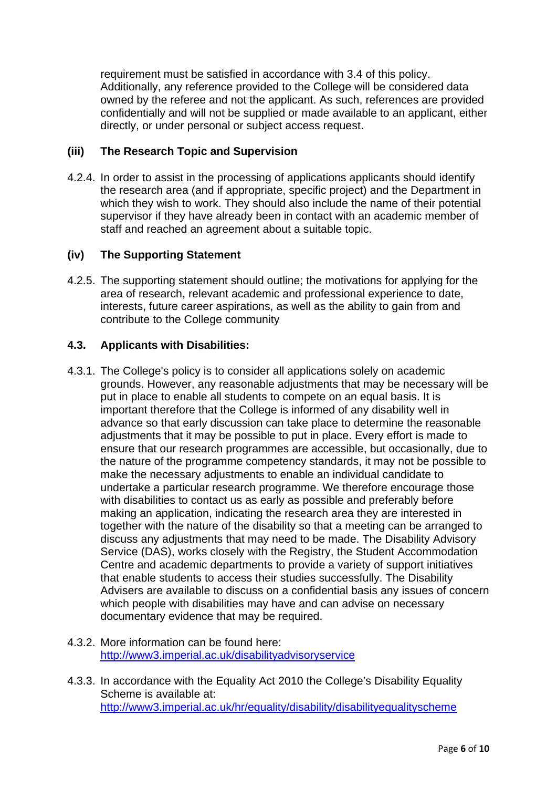requirement must be satisfied in accordance with 3.4 of this policy. Additionally, any reference provided to the College will be considered data owned by the referee and not the applicant. As such, references are provided confidentially and will not be supplied or made available to an applicant, either directly, or under personal or subject access request.

## **(iii) The Research Topic and Supervision**

4.2.4. In order to assist in the processing of applications applicants should identify the research area (and if appropriate, specific project) and the Department in which they wish to work. They should also include the name of their potential supervisor if they have already been in contact with an academic member of staff and reached an agreement about a suitable topic.

## **(iv) The Supporting Statement**

4.2.5. The supporting statement should outline; the motivations for applying for the area of research, relevant academic and professional experience to date, interests, future career aspirations, as well as the ability to gain from and contribute to the College community

## **4.3. Applicants with Disabilities:**

- 4.3.1. The College's policy is to consider all applications solely on academic grounds. However, any reasonable adjustments that may be necessary will be put in place to enable all students to compete on an equal basis. It is important therefore that the College is informed of any disability well in advance so that early discussion can take place to determine the reasonable adjustments that it may be possible to put in place. Every effort is made to ensure that our research programmes are accessible, but occasionally, due to the nature of the programme competency standards, it may not be possible to make the necessary adjustments to enable an individual candidate to undertake a particular research programme. We therefore encourage those with disabilities to contact us as early as possible and preferably before making an application, indicating the research area they are interested in together with the nature of the disability so that a meeting can be arranged to discuss any adjustments that may need to be made. The Disability Advisory Service (DAS), works closely with the Registry, the Student Accommodation Centre and academic departments to provide a variety of support initiatives that enable students to access their studies successfully. The Disability Advisers are available to discuss on a confidential basis any issues of concern which people with disabilities may have and can advise on necessary documentary evidence that may be required.
- 4.3.2. More information can be found here: <http://www3.imperial.ac.uk/disabilityadvisoryservice>
- 4.3.3. In accordance with the Equality Act 2010 the College's Disability Equality Scheme is available at: <http://www3.imperial.ac.uk/hr/equality/disability/disabilityequalityscheme>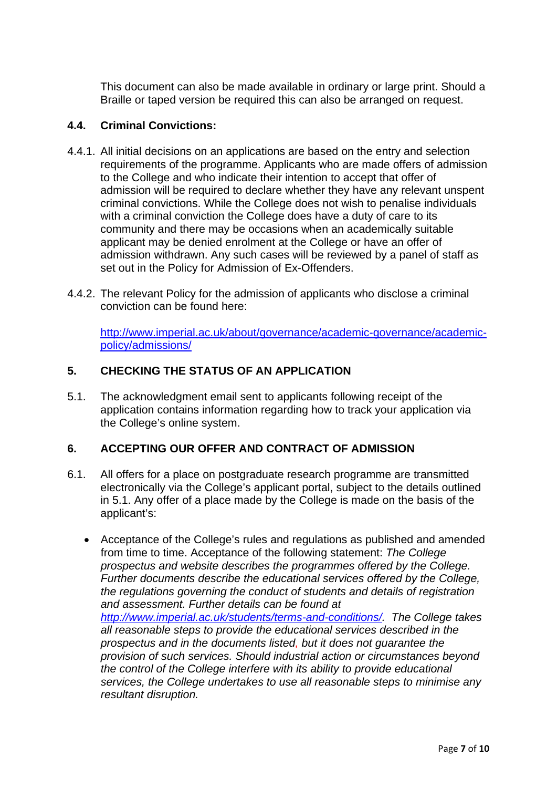This document can also be made available in ordinary or large print. Should a Braille or taped version be required this can also be arranged on request.

## **4.4. Criminal Convictions:**

- 4.4.1. All initial decisions on an applications are based on the entry and selection requirements of the programme. Applicants who are made offers of admission to the College and who indicate their intention to accept that offer of admission will be required to declare whether they have any relevant unspent criminal convictions. While the College does not wish to penalise individuals with a criminal conviction the College does have a duty of care to its community and there may be occasions when an academically suitable applicant may be denied enrolment at the College or have an offer of admission withdrawn. Any such cases will be reviewed by a panel of staff as set out in the Policy for Admission of Ex-Offenders.
- 4.4.2. The relevant Policy for the admission of applicants who disclose a criminal conviction can be found here:

[http://www.imperial.ac.uk/about/governance/academic-governance/academic](http://www.imperial.ac.uk/about/governance/academic-governance/academic-policy/admissions/)[policy/admissions/](http://www.imperial.ac.uk/about/governance/academic-governance/academic-policy/admissions/)

## **5. CHECKING THE STATUS OF AN APPLICATION**

5.1. The acknowledgment email sent to applicants following receipt of the application contains information regarding how to track your application via the College's online system.

#### **6. ACCEPTING OUR OFFER AND CONTRACT OF ADMISSION**

- 6.1. All offers for a place on postgraduate research programme are transmitted electronically via the College's applicant portal, subject to the details outlined in 5.1. Any offer of a place made by the College is made on the basis of the applicant's:
	- Acceptance of the College's rules and regulations as published and amended from time to time. Acceptance of the following statement: *The College prospectus and website describes the programmes offered by the College. Further documents describe the educational services offered by the College, the regulations governing the conduct of students and details of registration and assessment. Further details can be found at [http://www.imperial.ac.uk/students/terms-and-conditions/.](http://www.imperial.ac.uk/students/terms-and-conditions/) The College takes all reasonable steps to provide the educational services described in the prospectus and in the documents listed, but it does not guarantee the provision of such services. Should industrial action or circumstances beyond the control of the College interfere with its ability to provide educational services, the College undertakes to use all reasonable steps to minimise any resultant disruption.*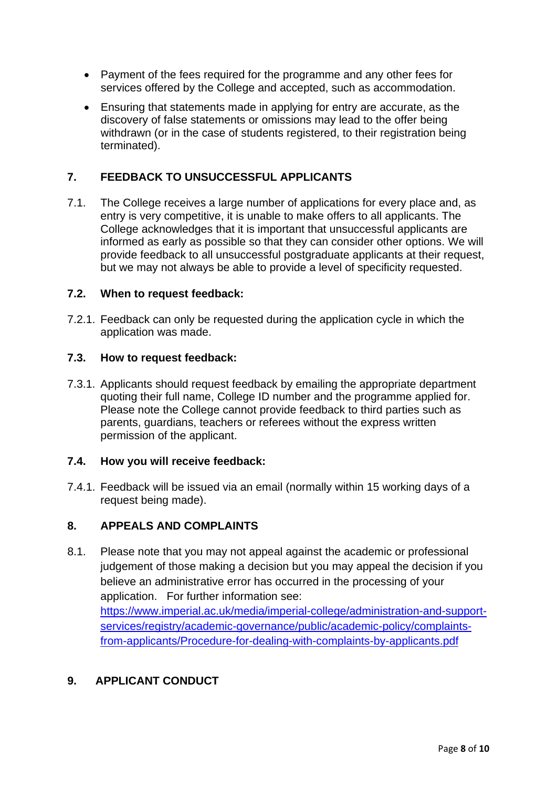- Payment of the fees required for the programme and any other fees for services offered by the College and accepted, such as accommodation.
- Ensuring that statements made in applying for entry are accurate, as the discovery of false statements or omissions may lead to the offer being withdrawn (or in the case of students registered, to their registration being terminated).

## **7. FEEDBACK TO UNSUCCESSFUL APPLICANTS**

7.1. The College receives a large number of applications for every place and, as entry is very competitive, it is unable to make offers to all applicants. The College acknowledges that it is important that unsuccessful applicants are informed as early as possible so that they can consider other options. We will provide feedback to all unsuccessful postgraduate applicants at their request, but we may not always be able to provide a level of specificity requested.

#### **7.2. When to request feedback:**

7.2.1. Feedback can only be requested during the application cycle in which the application was made.

#### **7.3. How to request feedback:**

7.3.1. Applicants should request feedback by emailing the appropriate department quoting their full name, College ID number and the programme applied for. Please note the College cannot provide feedback to third parties such as parents, guardians, teachers or referees without the express written permission of the applicant.

#### **7.4. How you will receive feedback:**

7.4.1. Feedback will be issued via an email (normally within 15 working days of a request being made).

#### **8. APPEALS AND COMPLAINTS**

8.1. Please note that you may not appeal against the academic or professional judgement of those making a decision but you may appeal the decision if you believe an administrative error has occurred in the processing of your application. For further information see: https://www.imperial.ac.uk/media/imperial-college/administration-and-supportservices/registry/academic-governance/public/academic-policy/complaintsfrom-applicants/Procedure-for-dealing-with-complaints-by-applicants.pdf

#### **9. APPLICANT CONDUCT**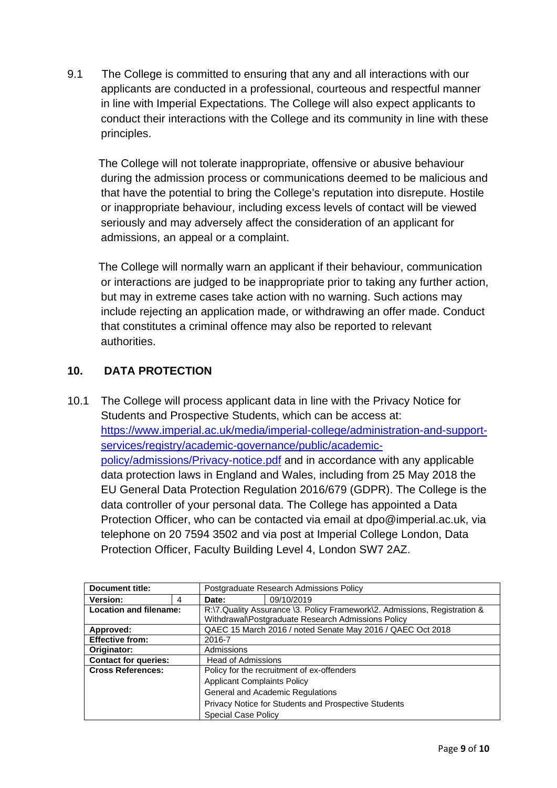9.1 The College is committed to ensuring that any and all interactions with our applicants are conducted in a professional, courteous and respectful manner in line with Imperial Expectations. The College will also expect applicants to conduct their interactions with the College and its community in line with these principles.

 The College will not tolerate inappropriate, offensive or abusive behaviour during the admission process or communications deemed to be malicious and that have the potential to bring the College's reputation into disrepute. Hostile or inappropriate behaviour, including excess levels of contact will be viewed seriously and may adversely affect the consideration of an applicant for admissions, an appeal or a complaint.

 The College will normally warn an applicant if their behaviour, communication or interactions are judged to be inappropriate prior to taking any further action, but may in extreme cases take action with no warning. Such actions may include rejecting an application made, or withdrawing an offer made. Conduct that constitutes a criminal offence may also be reported to relevant authorities.

# **10. DATA PROTECTION**

10.1 The College will process applicant data in line with the Privacy Notice for Students and Prospective Students, which can be access at: [https://www.imperial.ac.uk/media/imperial-college/administration-and-support](https://www.imperial.ac.uk/media/imperial-college/administration-and-support-services/registry/academic-governance/public/academic-policy/admissions/Privacy-notice.pdf)[services/registry/academic-governance/public/academic](https://www.imperial.ac.uk/media/imperial-college/administration-and-support-services/registry/academic-governance/public/academic-policy/admissions/Privacy-notice.pdf)[policy/admissions/Privacy-notice.pdf](https://www.imperial.ac.uk/media/imperial-college/administration-and-support-services/registry/academic-governance/public/academic-policy/admissions/Privacy-notice.pdf) and in accordance with any applicable data protection laws in England and Wales, including from 25 May 2018 the EU General Data Protection Regulation 2016/679 (GDPR). The College is the data controller of your personal data. The College has appointed a Data Protection Officer, who can be contacted via email at dpo@imperial.ac.uk, via telephone on 20 7594 3502 and via post at Imperial College London, Data Protection Officer, Faculty Building Level 4, London SW7 2AZ.

| Document title:               |   | Postgraduate Research Admissions Policy                                   |                                                      |
|-------------------------------|---|---------------------------------------------------------------------------|------------------------------------------------------|
| Version:                      | 4 | Date:                                                                     | 09/10/2019                                           |
| <b>Location and filename:</b> |   | R:\7.Quality Assurance \3. Policy Framework\2. Admissions, Registration & |                                                      |
|                               |   | Withdrawal\Postgraduate Research Admissions Policy                        |                                                      |
| Approved:                     |   | QAEC 15 March 2016 / noted Senate May 2016 / QAEC Oct 2018                |                                                      |
| <b>Effective from:</b>        |   | 2016-7                                                                    |                                                      |
| Originator:                   |   | Admissions                                                                |                                                      |
| <b>Contact for queries:</b>   |   | <b>Head of Admissions</b>                                                 |                                                      |
| <b>Cross References:</b>      |   | Policy for the recruitment of ex-offenders                                |                                                      |
|                               |   | <b>Applicant Complaints Policy</b>                                        |                                                      |
|                               |   |                                                                           | General and Academic Regulations                     |
|                               |   |                                                                           | Privacy Notice for Students and Prospective Students |
|                               |   | <b>Special Case Policy</b>                                                |                                                      |